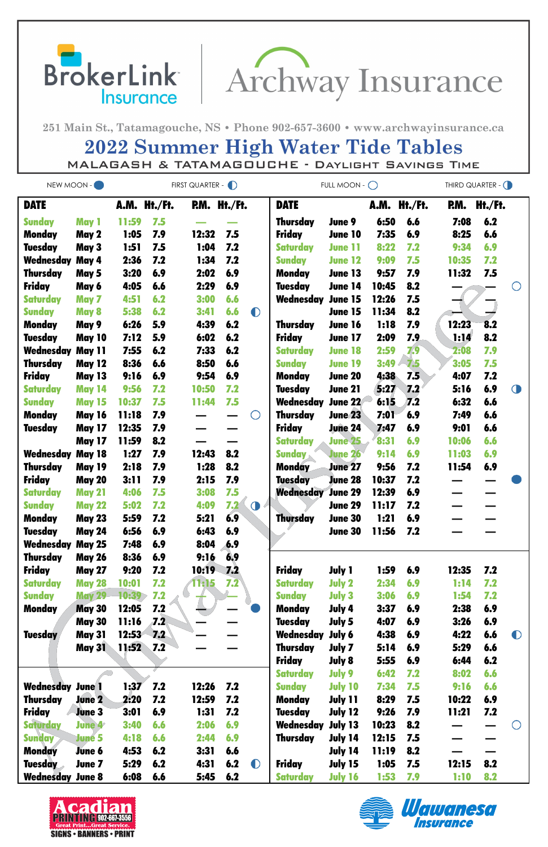

251 Main St., Tatamagouche, NS · Phone 902-657-3600 · www.archwayinsurance.ca

## **2022 Summer High Water Tide Tables** MALAGASH & TATAMAGOUCHE - DAYLIGHT SAVINGS TIME

| NEW MOON -              |                                | FIRST QUARTER - D |              |       |              |            | FULL MOON - $\bigcirc$          | THIRD QUARTER - ( |              |            |              |            |            |
|-------------------------|--------------------------------|-------------------|--------------|-------|--------------|------------|---------------------------------|-------------------|--------------|------------|--------------|------------|------------|
| <b>DATE</b>             |                                |                   | A.M. Ht./Ft. |       | P.M. Ht./Ft. |            | <b>DATE</b>                     |                   | A.M.         | Ht./Ft.    | RM.          | Ht./Ft.    |            |
| <b>Sunday</b>           | May 1                          | 11:59             | 7.5          |       |              |            | <b>Thursday</b>                 | June 9            | 6:50         | 6.6        | 7:08         | 6.2        |            |
| Monday                  | May 2                          | 1:05              | 7.9          | 12:32 | 7.5          |            | <b>Friday</b>                   | <b>June 10</b>    | 7:35         | 6.9        | 8:25         | 6.6        |            |
| <b>Tuesday</b>          | May 3                          | 1:51              | 7.5          | 1:04  | 7.2          |            | <b>Saturday</b>                 | <b>June 11</b>    | 8:22         | 7.2        | 9:34         | 6.9        |            |
| <b>Wednesday May 4</b>  |                                | 2:36              | 7.2          | 1:34  | 7.2          |            | <b>Sunday</b>                   | <b>June 12</b>    | 9:09         | 7.5        | 10:35        | 7.2        |            |
| <b>Thursday</b>         | May 5                          | 3:20              | 6.9          | 2:02  | 6.9          |            | <b>Monday</b>                   | June 13           | 9:57         | 7.9        | 11:32        | 7.5        |            |
| <b>Friday</b>           | May 6                          | 4:05              | 6.6          | 2:29  | 6.9          |            | <b>Tuesday</b>                  | <b>June 14</b>    | 10:45        | 8.2        |              |            |            |
| <b>Saturday</b>         | May 7                          | 4:51              | 6.2          | 3:00  | 6.6          |            | Wednesday                       | <b>June 15</b>    | 12:26        | 7.5        |              |            |            |
| <b>Sunday</b>           | May 8                          | 5:38              | 6.2          | 3:41  | 6.6          | $\bullet$  |                                 | June 15           | 11:34        | 8.2        |              |            |            |
| <b>Monday</b>           | May 9                          | 6:26              | 5.9          | 4:39  | 6.2          |            | <b>Thursday</b>                 | June 16           | 1:18         | 7.9        | 12:23        | 8.2        |            |
| <b>Tuesday</b>          | <b>May 10</b>                  | 7:12              | 5.9          | 6:02  | 6.2          |            | <b>Friday</b>                   | <b>June 17</b>    | 2:09         | 7.9        | 1:14         | 8.2        |            |
| <b>Wednesday May 11</b> |                                | 7:55              | 6.2          | 7:33  | 6.2          |            | <b>Saturday</b>                 | <b>June 18</b>    | 2:59         | 7.9        | 2:08         | 7.9        |            |
| <b>Thursday</b>         | <b>May 12</b>                  | 8:36              | 6.6          | 8:50  | 6.6          |            | <b>Sunday</b>                   | <b>June 19</b>    | 3:49         | 7.5        | 3:05         | 7.5        |            |
| <b>Friday</b>           | <b>May 13</b>                  | 9:16              | 6.9          | 9:54  | 6.9          |            | <b>Monday</b>                   | <b>June 20</b>    | 4:38         | 7.5        | 4:07         | 7.2        |            |
| <b>Saturday</b>         | <b>May 14</b>                  | 9:56              | 7.2          | 10:50 | 7.2          |            | <b>Tuesday</b>                  | <b>June 21</b>    | 5:27         | 7.2        | 5:16         | 6.9        | $\bigcirc$ |
| <b>Sunday</b>           | <b>May 15</b>                  | 10:37             | 7.5          | 11:44 | 7.5          |            | Wednesday                       | <b>June 22</b>    | 6:15         | 7.2        | 6:32         | 6.6        |            |
| <b>Monday</b>           | <b>May 16</b>                  | 11:18             | 7.9          |       |              | $\bigcirc$ | Thursday                        | <b>June 23</b>    | <b>7:01</b>  | 6.9        | 7:49         | 6.6        |            |
| <b>Tuesday</b>          | <b>May 17</b>                  | 12:35             | 7.9          |       |              |            | <b>Friday</b>                   | <b>June 24</b>    | 7:47         | 6.9        | 9:01         | 6.6        |            |
|                         | <b>May 17</b>                  | 11:59             | 8.2          |       |              |            | <b>Saturday</b>                 | <b>June 25</b>    | 8:31         | 6.9        | 10:06        | 6.6        |            |
| Wednesday               | <b>May 18</b>                  | 1:27              | 7.9          | 12:43 | 8.2          |            | <b>Sunday</b>                   | <b>June 26</b>    | 9:14         | 6.9        | 11:03        | 6.9        |            |
| <b>Thursday</b>         | <b>May 19</b>                  | 2:18              | 7.9          | 1:28  | 8.2          |            | <b>Monday</b>                   | <b>June 27</b>    | 9:56         | 7.2        | 11:54        | 6.9        |            |
| <b>Friday</b>           | <b>May 20</b>                  | 3:11              | 7.9          | 2:15  | 7.9          |            | <b>Tuesday</b>                  | <b>June 28</b>    | 10:37        | 7.2        |              |            |            |
| <b>Saturday</b>         | <b>May 21</b>                  | 4:06              | 7.5          | 3:08  | 7.5          |            | <b>Wednesday June 29</b>        |                   | 12:39        | 6.9        |              |            |            |
| <b>Sunday</b>           | <b>May 22</b>                  | 5:02              | 7.2          | 4:09  | 7.2          | $\bigcirc$ |                                 | June 29           | 11:17        | 7.2        |              |            |            |
| <b>Monday</b>           | <b>May 23</b>                  | 5:59              | 7.2          | 5:21  | 6.9          |            | Thursday                        | June 30           | 1:21         | 6.9        |              |            |            |
| <b>Tuesday</b>          | <b>May 24</b>                  | 6:56              | 6.9          | 6:43  | 6.9          |            |                                 | June 30           | 11:56        | 7.2        |              |            |            |
| Wednesday               | <b>May 25</b>                  | 7:48              | 6.9          | 8:04  | 6.9          |            |                                 |                   |              |            |              |            |            |
| <b>Thursday</b>         | <b>May 26</b>                  | 8:36              | 6.9          | 9:16  | 6.9          |            |                                 |                   |              |            |              |            |            |
| <b>Friday</b>           | <b>May 27</b>                  | 9:20              | 7.2          | 10:19 | 7.2          |            | <b>Friday</b>                   | <b>July 1</b>     | 1:59         | 6.9        | 12:35        | 7.2        |            |
| <b>Saturday</b>         | <b>May 28</b>                  | 10:01             | 7.2          | 1:15  | 7.2          |            | <b>Saturday</b>                 | <b>July 2</b>     | 2:34         | 6.9        | 1:14         | 7.2        |            |
| <b>Sunday</b>           | <b>May 29</b>                  | 10:39             | 7.2<br>7.2   |       |              |            | <b>Sunday</b>                   | <b>July 3</b>     | 3:06         | 6.9        | 1:54         | 7.2<br>6.9 |            |
| <b>Monday</b>           | <b>May 30</b><br><b>May 30</b> | 12:05<br>11:16    | 7.2          |       |              |            | <b>Monday</b><br><b>Tuesday</b> | July 4<br>July 5  | 3:37<br>4:07 | 6.9<br>6.9 | 2:38<br>3:26 | 6.9        |            |
| <b>Tuesday</b>          | <b>May 31</b>                  | 12:53             | 7.2          |       |              |            | Wednesday                       | July 6            | 4:38         | 6.9        | 4:22         | 6.6        | $\bullet$  |
|                         | <b>May 31</b>                  | 11:52             | 7.2          |       |              |            | <b>Thursday</b>                 | July 7            | 5:14         | 6.9        | 5:29         | 6.6        |            |
|                         |                                |                   |              |       |              |            | <b>Friday</b>                   | July 8            | 5:55         | 6.9        | 6:44         | 6.2        |            |
|                         |                                |                   |              |       |              |            | <b>Saturday</b>                 | July 9            | 6:42         | 7.2        | 8:02         | 6.6        |            |
| <b>Wednesday June 1</b> |                                | 1:37              | 7.2          | 12:26 | 7.2          |            | <b>Sunday</b>                   | <b>July 10</b>    | 7:34         | 7.5        | 9:16         | 6.6        |            |
| <b>Thursday</b>         | June 2                         | 2:20              | 7.2          | 12:59 | 7.2          |            | <b>Monday</b>                   | July 11           | 8:29         | 7.5        | 10:22        | 6.9        |            |
| <b>Friday</b>           | <b>June 3</b>                  | 3:01              | 6.9          | 1:31  | 7.2          |            | <b>Tuesday</b>                  | <b>July 12</b>    | 9:26         | 7.9        | 11:21        | 7.2        |            |
| <b>Saturday</b>         | <b>June 4</b>                  | 3:40              | 6.6          | 2:06  | 6.9          |            | Wednesday                       | <b>July 13</b>    | 10:23        | 8.2        |              |            |            |
| <b>Sunday</b>           | <b>June 5</b>                  | 4:18              | 6.6          | 2:44  | 6.9          |            | <b>Thursday</b>                 | July 14           | 12:15        | 7.5        |              |            |            |
| <b>Monday</b>           | <b>June 6</b>                  | 4:53              | 6.2          | 3:31  | 6.6          |            |                                 | July 14           | <b>11:19</b> | 8.2        |              |            |            |
| <b>Tuesday</b>          | June 7                         | 5:29              | 6.2          | 4:31  | 6.2          | $\bullet$  | <b>Friday</b>                   | July 15           | 1:05         | 7.5        | 12:15        | 8.2        |            |
| <b>Wednesday June 8</b> |                                | 6:08              | 6.6          | 5:45  | 6.2          |            | <b>Saturday</b>                 | <b>July 16</b>    | 1:53         | 7.9        | 1:10         | 8.2        |            |